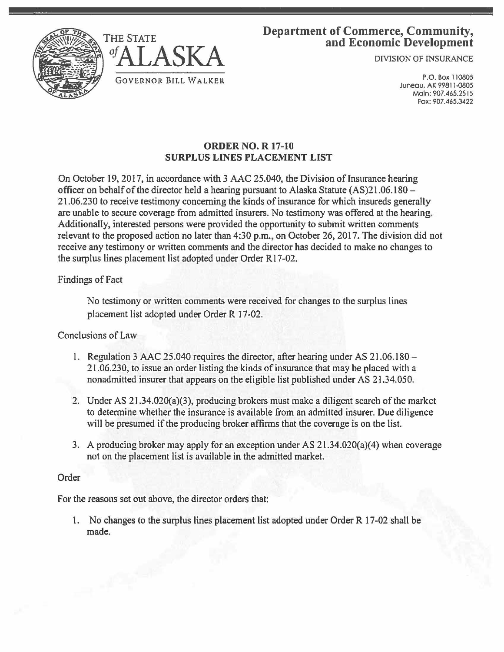



# Department of Commerce, Community, and Economic Development

DIVISION OF INSURANCE

P.O. Box 110805 Juneau. AK 99811-0805 Main: 907.465.2515 Fax: 907.465.3422

## **ORDER NO. R 17-10 SURPLUS LINES PLACEMENT LIST**

On October 19, 2017, in accordance with 3 AAC 25.040, the Division of Insurance hearing officer on behalf of the director held a hearing pursuant to Alaska Statute  $(AS)21.06.180 -$ 21.06.230 to receive testimony concerning the kinds of insurance for which insureds generally are unable to secure coverage from admitted insurers. No testimony was offered at the hearing. Additionally, interested persons were provided the opportunity to submit written comments relevant to the proposed action no later than 4:30 p.m., on October 26, 2017. The division did not receive any testimony or written comments and the director has decided to make no changes to the surplus lines placement list adopted under Order R17-02.

### Findings of Fact

No testimony or written comments were received for changes to the surplus lines placement list adopted under Order R 17-02.

### Conclusions of Law

- 1. Regulation 3 AAC 25.040 requires the director, after hearing under AS 21.06.180 21.06.230, to issue an order listing the kinds of insurance that may be placed with a nonadmitted insurer that appears on the eligible list published under AS 21.34.050.
- 2. Under AS 21.34.020(a)(3), producing brokers must make a diligent search of the market to determine whether the insurance is available from an admitted insurer. Due diligence will be presumed if the producing broker affirms that the coverage is on the list.
- 3. A producing broker may apply for an exception under AS 21.34.020(a)(4) when coverage not on the placement list is available in the admitted market.

### Order

For the reasons set out above, the director orders that:

1. No changes to the surplus lines placement list adopted under Order R 17-02 shall be made.